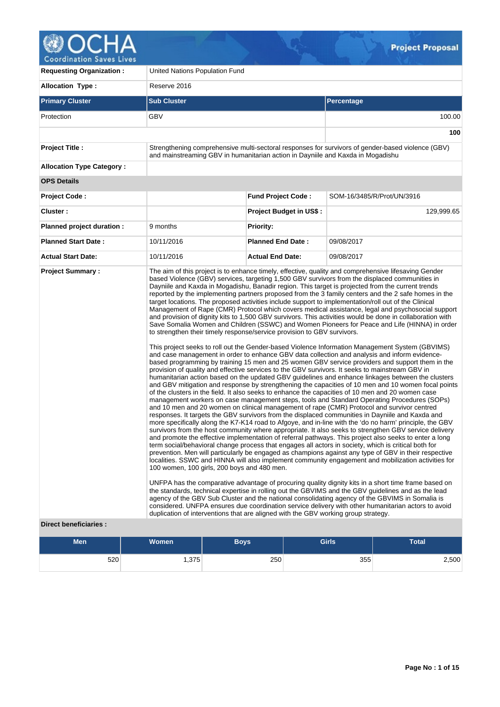

| <b>Requesting Organization:</b>  | United Nations Population Fund                                                                                                                                                                               |                                |                                                                                                                                                                                                                                                                                                                                                                                                                                                                                                                                                                                                                                                                                                                                                                                                                                                                                                                                                                                                                                                                                                                                                                                                                                                                                                                                                                                                                                                                                                                                                                                                                                                                                                                                                                                                                                                                                                                                                                                                                                                                                                                                                                                                                                                                                                                                                                                                                                                                                                                                                                                                                                                                                                                                                                                                                                                   |  |  |  |  |  |
|----------------------------------|--------------------------------------------------------------------------------------------------------------------------------------------------------------------------------------------------------------|--------------------------------|---------------------------------------------------------------------------------------------------------------------------------------------------------------------------------------------------------------------------------------------------------------------------------------------------------------------------------------------------------------------------------------------------------------------------------------------------------------------------------------------------------------------------------------------------------------------------------------------------------------------------------------------------------------------------------------------------------------------------------------------------------------------------------------------------------------------------------------------------------------------------------------------------------------------------------------------------------------------------------------------------------------------------------------------------------------------------------------------------------------------------------------------------------------------------------------------------------------------------------------------------------------------------------------------------------------------------------------------------------------------------------------------------------------------------------------------------------------------------------------------------------------------------------------------------------------------------------------------------------------------------------------------------------------------------------------------------------------------------------------------------------------------------------------------------------------------------------------------------------------------------------------------------------------------------------------------------------------------------------------------------------------------------------------------------------------------------------------------------------------------------------------------------------------------------------------------------------------------------------------------------------------------------------------------------------------------------------------------------------------------------------------------------------------------------------------------------------------------------------------------------------------------------------------------------------------------------------------------------------------------------------------------------------------------------------------------------------------------------------------------------------------------------------------------------------------------------------------------------|--|--|--|--|--|
| <b>Allocation Type:</b>          | Reserve 2016                                                                                                                                                                                                 |                                |                                                                                                                                                                                                                                                                                                                                                                                                                                                                                                                                                                                                                                                                                                                                                                                                                                                                                                                                                                                                                                                                                                                                                                                                                                                                                                                                                                                                                                                                                                                                                                                                                                                                                                                                                                                                                                                                                                                                                                                                                                                                                                                                                                                                                                                                                                                                                                                                                                                                                                                                                                                                                                                                                                                                                                                                                                                   |  |  |  |  |  |
| <b>Primary Cluster</b>           | <b>Sub Cluster</b>                                                                                                                                                                                           | <b>Percentage</b>              |                                                                                                                                                                                                                                                                                                                                                                                                                                                                                                                                                                                                                                                                                                                                                                                                                                                                                                                                                                                                                                                                                                                                                                                                                                                                                                                                                                                                                                                                                                                                                                                                                                                                                                                                                                                                                                                                                                                                                                                                                                                                                                                                                                                                                                                                                                                                                                                                                                                                                                                                                                                                                                                                                                                                                                                                                                                   |  |  |  |  |  |
| Protection                       | GBV                                                                                                                                                                                                          |                                | 100.00                                                                                                                                                                                                                                                                                                                                                                                                                                                                                                                                                                                                                                                                                                                                                                                                                                                                                                                                                                                                                                                                                                                                                                                                                                                                                                                                                                                                                                                                                                                                                                                                                                                                                                                                                                                                                                                                                                                                                                                                                                                                                                                                                                                                                                                                                                                                                                                                                                                                                                                                                                                                                                                                                                                                                                                                                                            |  |  |  |  |  |
|                                  |                                                                                                                                                                                                              |                                | 100                                                                                                                                                                                                                                                                                                                                                                                                                                                                                                                                                                                                                                                                                                                                                                                                                                                                                                                                                                                                                                                                                                                                                                                                                                                                                                                                                                                                                                                                                                                                                                                                                                                                                                                                                                                                                                                                                                                                                                                                                                                                                                                                                                                                                                                                                                                                                                                                                                                                                                                                                                                                                                                                                                                                                                                                                                               |  |  |  |  |  |
| <b>Project Title:</b>            | and mainstreaming GBV in humanitarian action in Dayniile and Kaxda in Mogadishu                                                                                                                              |                                | Strengthening comprehensive multi-sectoral responses for survivors of gender-based violence (GBV)                                                                                                                                                                                                                                                                                                                                                                                                                                                                                                                                                                                                                                                                                                                                                                                                                                                                                                                                                                                                                                                                                                                                                                                                                                                                                                                                                                                                                                                                                                                                                                                                                                                                                                                                                                                                                                                                                                                                                                                                                                                                                                                                                                                                                                                                                                                                                                                                                                                                                                                                                                                                                                                                                                                                                 |  |  |  |  |  |
| <b>Allocation Type Category:</b> |                                                                                                                                                                                                              |                                |                                                                                                                                                                                                                                                                                                                                                                                                                                                                                                                                                                                                                                                                                                                                                                                                                                                                                                                                                                                                                                                                                                                                                                                                                                                                                                                                                                                                                                                                                                                                                                                                                                                                                                                                                                                                                                                                                                                                                                                                                                                                                                                                                                                                                                                                                                                                                                                                                                                                                                                                                                                                                                                                                                                                                                                                                                                   |  |  |  |  |  |
| <b>OPS Details</b>               |                                                                                                                                                                                                              |                                |                                                                                                                                                                                                                                                                                                                                                                                                                                                                                                                                                                                                                                                                                                                                                                                                                                                                                                                                                                                                                                                                                                                                                                                                                                                                                                                                                                                                                                                                                                                                                                                                                                                                                                                                                                                                                                                                                                                                                                                                                                                                                                                                                                                                                                                                                                                                                                                                                                                                                                                                                                                                                                                                                                                                                                                                                                                   |  |  |  |  |  |
| <b>Project Code:</b>             |                                                                                                                                                                                                              | <b>Fund Project Code:</b>      | SOM-16/3485/R/Prot/UN/3916                                                                                                                                                                                                                                                                                                                                                                                                                                                                                                                                                                                                                                                                                                                                                                                                                                                                                                                                                                                                                                                                                                                                                                                                                                                                                                                                                                                                                                                                                                                                                                                                                                                                                                                                                                                                                                                                                                                                                                                                                                                                                                                                                                                                                                                                                                                                                                                                                                                                                                                                                                                                                                                                                                                                                                                                                        |  |  |  |  |  |
| Cluster:                         |                                                                                                                                                                                                              | <b>Project Budget in US\$:</b> | 129,999.65                                                                                                                                                                                                                                                                                                                                                                                                                                                                                                                                                                                                                                                                                                                                                                                                                                                                                                                                                                                                                                                                                                                                                                                                                                                                                                                                                                                                                                                                                                                                                                                                                                                                                                                                                                                                                                                                                                                                                                                                                                                                                                                                                                                                                                                                                                                                                                                                                                                                                                                                                                                                                                                                                                                                                                                                                                        |  |  |  |  |  |
| Planned project duration :       | 9 months                                                                                                                                                                                                     | <b>Priority:</b>               |                                                                                                                                                                                                                                                                                                                                                                                                                                                                                                                                                                                                                                                                                                                                                                                                                                                                                                                                                                                                                                                                                                                                                                                                                                                                                                                                                                                                                                                                                                                                                                                                                                                                                                                                                                                                                                                                                                                                                                                                                                                                                                                                                                                                                                                                                                                                                                                                                                                                                                                                                                                                                                                                                                                                                                                                                                                   |  |  |  |  |  |
| <b>Planned Start Date:</b>       | 10/11/2016                                                                                                                                                                                                   | <b>Planned End Date:</b>       | 09/08/2017                                                                                                                                                                                                                                                                                                                                                                                                                                                                                                                                                                                                                                                                                                                                                                                                                                                                                                                                                                                                                                                                                                                                                                                                                                                                                                                                                                                                                                                                                                                                                                                                                                                                                                                                                                                                                                                                                                                                                                                                                                                                                                                                                                                                                                                                                                                                                                                                                                                                                                                                                                                                                                                                                                                                                                                                                                        |  |  |  |  |  |
| <b>Actual Start Date:</b>        | 10/11/2016                                                                                                                                                                                                   | <b>Actual End Date:</b>        | 09/08/2017                                                                                                                                                                                                                                                                                                                                                                                                                                                                                                                                                                                                                                                                                                                                                                                                                                                                                                                                                                                                                                                                                                                                                                                                                                                                                                                                                                                                                                                                                                                                                                                                                                                                                                                                                                                                                                                                                                                                                                                                                                                                                                                                                                                                                                                                                                                                                                                                                                                                                                                                                                                                                                                                                                                                                                                                                                        |  |  |  |  |  |
| <b>Direct beneficiaries:</b>     | to strengthen their timely response/service provision to GBV survivors.<br>100 women, 100 girls, 200 boys and 480 men.<br>duplication of interventions that are aligned with the GBV working group strategy. |                                | based Violence (GBV) services, targeting 1,500 GBV survivors from the displaced communities in<br>Dayniile and Kaxda in Mogadishu, Banadir region. This target is projected from the current trends<br>reported by the implementing partners proposed from the 3 family centers and the 2 safe homes in the<br>target locations. The proposed activities include support to implementation/roll out of the Clinical<br>Management of Rape (CMR) Protocol which covers medical assistance, legal and psychosocial support<br>and provision of dignity kits to 1,500 GBV survivors. This activities would be done in collaboration with<br>Save Somalia Women and Children (SSWC) and Women Pioneers for Peace and Life (HINNA) in order<br>This project seeks to roll out the Gender-based Violence Information Management System (GBVIMS)<br>and case management in order to enhance GBV data collection and analysis and inform evidence-<br>based programming by training 15 men and 25 women GBV service providers and support them in the<br>provision of quality and effective services to the GBV survivors. It seeks to mainstream GBV in<br>humanitarian action based on the updated GBV guidelines and enhance linkages between the clusters<br>and GBV mitigation and response by strengthening the capacities of 10 men and 10 women focal points<br>of the clusters in the field. It also seeks to enhance the capacities of 10 men and 20 women case<br>management workers on case management steps, tools and Standard Operating Procedures (SOPs)<br>and 10 men and 20 women on clinical management of rape (CMR) Protocol and survivor centred<br>responses. It targets the GBV survivors from the displaced communities in Dayniile and Kaxda and<br>more specifically along the K7-K14 road to Afgoye, and in-line with the 'do no harm' principle, the GBV<br>survivors from the host community where appropriate. It also seeks to strengthen GBV service delivery<br>and promote the effective implementation of referral pathways. This project also seeks to enter a long<br>term social/behavioral change process that engages all actors in society, which is critical both for<br>prevention. Men will particularly be engaged as champions against any type of GBV in their respective<br>localities. SSWC and HINNA will also implement community engagement and mobilization activities for<br>UNFPA has the comparative advantage of procuring quality dignity kits in a short time frame based on<br>the standards, technical expertise in rolling out the GBVIMS and the GBV guidelines and as the lead<br>agency of the GBV Sub Cluster and the national consolidating agency of the GBVIMS in Somalia is<br>considered. UNFPA ensures due coordination service delivery with other humanitarian actors to avoid |  |  |  |  |  |

| Men | <b>Women</b> | Boys | <b>Girls</b> | <b>Total</b> |
|-----|--------------|------|--------------|--------------|
| 520 | 1,375        | 250  | 355          | 2,500        |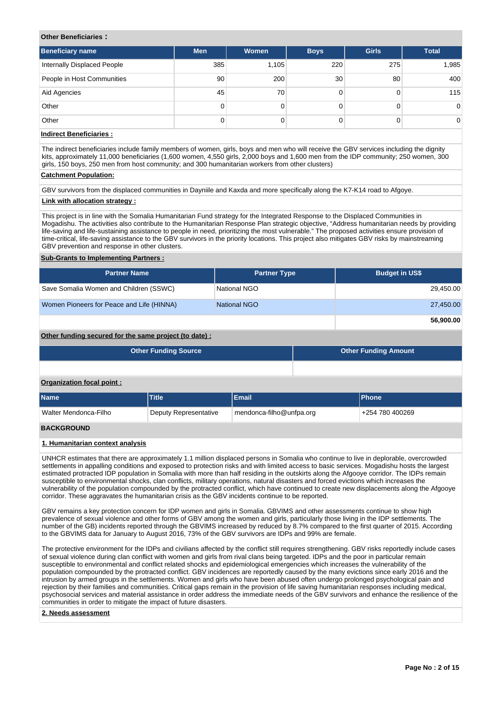#### **Other Beneficiaries :**

| <b>Beneficiary name</b>            | <b>Men</b> | Women | <b>Boys</b>     | <b>Girls</b> | <b>Total</b>   |
|------------------------------------|------------|-------|-----------------|--------------|----------------|
| <b>Internally Displaced People</b> | 385        | 1,105 | 220             | 275          | 1,985          |
| People in Host Communities         | 90         | 200   | 30 <sup>°</sup> | 80           | 400            |
| Aid Agencies                       | 45         | 70    |                 |              | 115            |
| Other                              | 0          |       |                 |              | $\overline{0}$ |
| Other                              | 0          |       |                 |              | $\overline{0}$ |

## **Indirect Beneficiaries :**

The indirect beneficiaries include family members of women, girls, boys and men who will receive the GBV services including the dignity kits, approximately 11,000 beneficiaries (1,600 women, 4,550 girls, 2,000 boys and 1,600 men from the IDP community; 250 women, 300 girls, 150 boys, 250 men from host community; and 300 humanitarian workers from other clusters)

#### **Catchment Population:**

GBV survivors from the displaced communities in Dayniile and Kaxda and more specifically along the K7-K14 road to Afgoye.

## **Link with allocation strategy :**

This project is in line with the Somalia Humanitarian Fund strategy for the Integrated Response to the Displaced Communities in Mogadishu. The activities also contribute to the Humanitarian Response Plan strategic objective, "Address humanitarian needs by providing life-saving and life-sustaining assistance to people in need, prioritizing the most vulnerable." The proposed activities ensure provision of time-critical, life-saving assistance to the GBV survivors in the priority locations. This project also mitigates GBV risks by mainstreaming GBV prevention and response in other clusters.

#### **Sub-Grants to Implementing Partners :**

| <b>Partner Name</b>                       | <b>Partner Type</b> | <b>Budget in US\$</b> |
|-------------------------------------------|---------------------|-----------------------|
| Save Somalia Women and Children (SSWC)    | National NGO        | 29,450.00             |
| Women Pioneers for Peace and Life (HINNA) | National NGO        | 27,450.00             |
|                                           |                     | 56,900.00             |

## **Other funding secured for the same project (to date) :**

| <b>Other Funding Source</b> | <b>Other Funding Amount</b> |
|-----------------------------|-----------------------------|
|                             |                             |

## **Organization focal point :**

| <b>Name</b>           | <b>Title</b>          | Email                    | <b>IPhone</b>   |
|-----------------------|-----------------------|--------------------------|-----------------|
| Walter Mendonca-Filho | Deputy Representative | mendonca-filho@unfpa.org | +254 780 400269 |
| <b>BACKGROUND</b>     |                       |                          |                 |

## **1. Humanitarian context analysis**

UNHCR estimates that there are approximately 1.1 million displaced persons in Somalia who continue to live in deplorable, overcrowded settlements in appalling conditions and exposed to protection risks and with limited access to basic services. Mogadishu hosts the largest estimated protracted IDP population in Somalia with more than half residing in the outskirts along the Afgooye corridor. The IDPs remain susceptible to environmental shocks, clan conflicts, military operations, natural disasters and forced evictions which increases the vulnerability of the population compounded by the protracted conflict, which have continued to create new displacements along the Afgooye corridor. These aggravates the humanitarian crisis as the GBV incidents continue to be reported.

GBV remains a key protection concern for IDP women and girls in Somalia. GBVIMS and other assessments continue to show high prevalence of sexual violence and other forms of GBV among the women and girls, particularly those living in the IDP settlements. The number of the GB) incidents reported through the GBVIMS increased by reduced by 8.7% compared to the first quarter of 2015. According to the GBVIMS data for January to August 2016, 73% of the GBV survivors are IDPs and 99% are female.

The protective environment for the IDPs and civilians affected by the conflict still requires strengthening. GBV risks reportedly include cases of sexual violence during clan conflict with women and girls from rival clans being targeted. IDPs and the poor in particular remain susceptible to environmental and conflict related shocks and epidemiological emergencies which increases the vulnerability of the population compounded by the protracted conflict. GBV incidences are reportedly caused by the many evictions since early 2016 and the intrusion by armed groups in the settlements. Women and girls who have been abused often undergo prolonged psychological pain and rejection by their families and communities. Critical gaps remain in the provision of life saving humanitarian responses including medical, psychosocial services and material assistance in order address the immediate needs of the GBV survivors and enhance the resilience of the communities in order to mitigate the impact of future disasters.

#### **2. Needs assessment**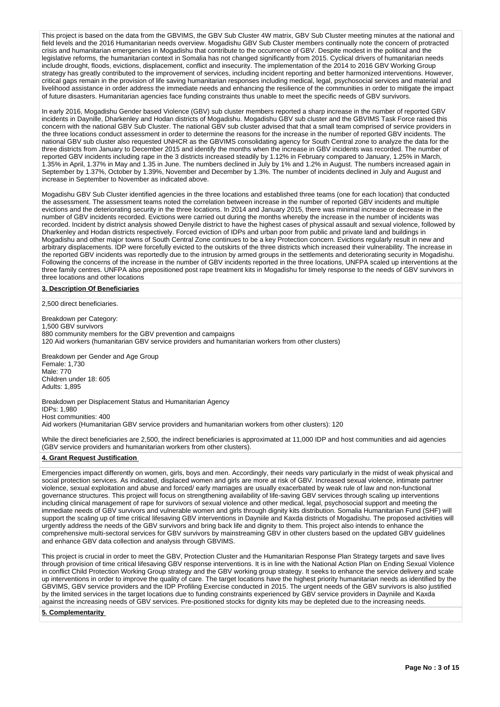This project is based on the data from the GBVIMS, the GBV Sub Cluster 4W matrix, GBV Sub Cluster meeting minutes at the national and field levels and the 2016 Humanitarian needs overview. Mogadishu GBV Sub Cluster members continually note the concern of protracted crisis and humanitarian emergencies in Mogadishu that contribute to the occurrence of GBV. Despite modest in the political and the legislative reforms, the humanitarian context in Somalia has not changed significantly from 2015. Cyclical drivers of humanitarian needs include drought, floods, evictions, displacement, conflict and insecurity. The implementation of the 2014 to 2016 GBV Working Group strategy has greatly contributed to the improvement of services, including incident reporting and better harmonized interventions. However, critical gaps remain in the provision of life saving humanitarian responses including medical, legal, psychosocial services and material and livelihood assistance in order address the immediate needs and enhancing the resilience of the communities in order to mitigate the impact of future disasters. Humanitarian agencies face funding constraints thus unable to meet the specific needs of GBV survivors.

In early 2016, Mogadishu Gender based Violence (GBV) sub cluster members reported a sharp increase in the number of reported GBV incidents in Daynille, Dharkenley and Hodan districts of Mogadishu. Mogadishu GBV sub cluster and the GBVIMS Task Force raised this concern with the national GBV Sub Cluster. The national GBV sub cluster advised that that a small team comprised of service providers in the three locations conduct assessment in order to determine the reasons for the increase in the number of reported GBV incidents. The national GBV sub cluster also requested UNHCR as the GBVIMS consolidating agency for South Central zone to analyze the data for the three districts from January to December 2015 and identify the months when the increase in GBV incidents was recorded. The number of reported GBV incidents including rape in the 3 districts increased steadily by 1.12% in February compared to January, 1.25% in March, 1.35% in April, 1.37% in May and 1.35 in June. The numbers declined in July by 1% and 1.2% in August. The numbers increased again in September by 1.37%, October by 1.39%, November and December by 1.3%. The number of incidents declined in July and August and increase in September to November as indicated above.

Mogadishu GBV Sub Cluster identified agencies in the three locations and established three teams (one for each location) that conducted the assessment. The assessment teams noted the correlation between increase in the number of reported GBV incidents and multiple evictions and the deteriorating security in the three locations. In 2014 and January 2015, there was minimal increase or decrease in the number of GBV incidents recorded. Evictions were carried out during the months whereby the increase in the number of incidents was recorded. Incident by district analysis showed Denyile district to have the highest cases of physical assault and sexual violence, followed by Dharkenley and Hodan districts respectively. Forced eviction of IDPs and urban poor from public and private land and buildings in Mogadishu and other major towns of South Central Zone continues to be a key Protection concern. Evictions regularly result in new and arbitrary displacements. IDP were forcefully evicted to the outskirts of the three districts which increased their vulnerability. The increase in the reported GBV incidents was reportedly due to the intrusion by armed groups in the settlements and deteriorating security in Mogadishu. Following the concerns of the increase in the number of GBV incidents reported in the three locations, UNFPA scaled up interventions at the three family centres. UNFPA also prepositioned post rape treatment kits in Mogadishu for timely response to the needs of GBV survivors in three locations and other locations

#### **3. Description Of Beneficiaries**

2,500 direct beneficiaries.

Breakdown per Category: 1,500 GBV survivors 880 community members for the GBV prevention and campaigns 120 Aid workers (humanitarian GBV service providers and humanitarian workers from other clusters)

Breakdown per Gender and Age Group Female: 1,730 Male: 770 Children under 18: 605 Adults: 1,895

Breakdown per Displacement Status and Humanitarian Agency IDPs: 1,980 Host communities: 400 Aid workers (Humanitarian GBV service providers and humanitarian workers from other clusters): 120

While the direct beneficiaries are 2,500, the indirect beneficiaries is approximated at 11,000 IDP and host communities and aid agencies (GBV service providers and humanitarian workers from other clusters).

#### **4. Grant Request Justification**

Emergencies impact differently on women, girls, boys and men. Accordingly, their needs vary particularly in the midst of weak physical and social protection services. As indicated, displaced women and girls are more at risk of GBV. Increased sexual violence, intimate partner violence, sexual exploitation and abuse and forced/ early marriages are usually exacerbated by weak rule of law and non-functional governance structures. This project will focus on strengthening availability of life-saving GBV services through scaling up interventions including clinical management of rape for survivors of sexual violence and other medical, legal, psychosocial support and meeting the immediate needs of GBV survivors and vulnerable women and girls through dignity kits distribution. Somalia Humanitarian Fund (SHF) will support the scaling up of time critical lifesaving GBV interventions in Dayniile and Kaxda districts of Mogadishu. The proposed activities will urgently address the needs of the GBV survivors and bring back life and dignity to them. This project also intends to enhance the comprehensive multi-sectoral services for GBV survivors by mainstreaming GBV in other clusters based on the updated GBV guidelines and enhance GBV data collection and analysis through GBVIMS.

This project is crucial in order to meet the GBV, Protection Cluster and the Humanitarian Response Plan Strategy targets and save lives through provision of time critical lifesaving GBV response interventions. It is in line with the National Action Plan on Ending Sexual Violence in conflict Child Protection Working Group strategy and the GBV working group strategy. It seeks to enhance the service delivery and scale up interventions in order to improve the quality of care. The target locations have the highest priority humanitarian needs as identified by the GBVIMS, GBV service providers and the IDP Profiling Exercise conducted in 2015. The urgent needs of the GBV survivors is also justified by the limited services in the target locations due to funding constraints experienced by GBV service providers in Dayniile and Kaxda against the increasing needs of GBV services. Pre-positioned stocks for dignity kits may be depleted due to the increasing needs.

**5. Complementarity**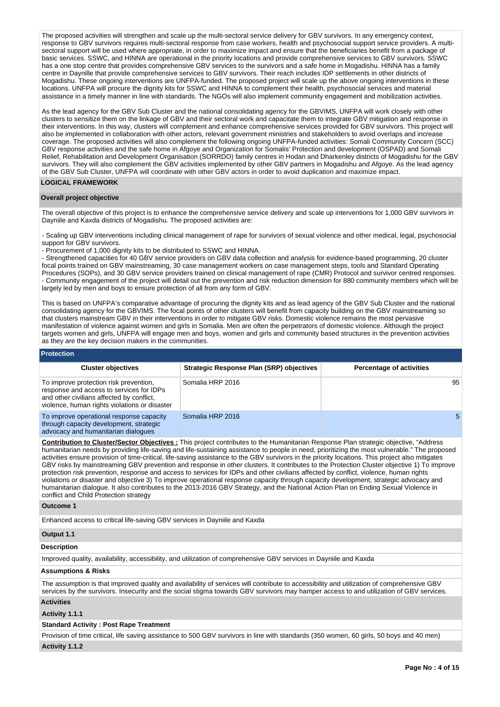The proposed activities will strengthen and scale up the multi-sectoral service delivery for GBV survivors. In any emergency context, response to GBV survivors requires multi-sectoral response from case workers, health and psychosocial support service providers. A multisectoral support will be used where appropriate, in order to maximize impact and ensure that the beneficiaries benefit from a package of basic services. SSWC, and HINNA are operational in the priority locations and provide comprehensive services to GBV survivors. SSWC has a one stop centre that provides comprehensive GBV services to the survivors and a safe home in Mogadishu. HINNA has a family centre in Daynille that provide comprehensive services to GBV survivors. Their reach includes IDP settlements in other districts of Mogadishu. These ongoing interventions are UNFPA-funded. The proposed project will scale up the above ongoing interventions in these locations. UNFPA will procure the dignity kits for SSWC and HINNA to complement their health, psychosocial services and material assistance in a timely manner in line with standards. The NGOs will also implement community engagement and mobilization activities.

As the lead agency for the GBV Sub Cluster and the national consolidating agency for the GBVIMS, UNFPA will work closely with other clusters to sensitize them on the linkage of GBV and their sectoral work and capacitate them to integrate GBV mitigation and response in their interventions. In this way, clusters will complement and enhance comprehensive services provided for GBV survivors. This project will also be implemented in collaboration with other actors, relevant government ministries and stakeholders to avoid overlaps and increase coverage. The proposed activities will also complement the following ongoing UNFPA-funded activities: Somali Community Concern (SCC) GBV response activities and the safe home in Afgoye and Organization for Somalis' Protection and development (OSPAD) and Somali Relief, Rehabilitation and Development Organisation (SORRDO) family centres in Hodan and Dharkenley districts of Mogadishu for the GBV survivors. They will also complement the GBV activities implemented by other GBV partners in Mogadishu and Afgoye. As the lead agency of the GBV Sub Cluster, UNFPA will coordinate with other GBV actors in order to avoid duplication and maximize impact.

## **LOGICAL FRAMEWORK**

#### **Overall project objective**

The overall objective of this project is to enhance the comprehensive service delivery and scale up interventions for 1,000 GBV survivors in Dayniile and Kaxda districts of Mogadishu. The proposed activities are:

- Scaling up GBV interventions including clinical management of rape for survivors of sexual violence and other medical, legal, psychosocial support for GBV survivors.

- Procurement of 1,000 dignity kits to be distributed to SSWC and HINNA.

- Strengthened capacities for 40 GBV service providers on GBV data collection and analysis for evidence-based programming, 20 cluster focal points trained on GBV mainstreaming, 30 case management workers on case management steps, tools and Standard Operating Procedures (SOPs), and 30 GBV service providers trained on clinical management of rape (CMR) Protocol and survivor centred responses. - Community engagement of the project will detail out the prevention and risk reduction dimension for 880 community members which will be largely led by men and boys to ensure protection of all from any form of GBV.

This is based on UNFPA's comparative advantage of procuring the dignity kits and as lead agency of the GBV Sub Cluster and the national consolidating agency for the GBVIMS. The focal points of other clusters will benefit from capacity building on the GBV mainstreaming so that clusters mainstream GBV in their interventions in order to mitigate GBV risks. Domestic violence remains the most pervasive manifestation of violence against women and girls in Somalia. Men are often the perpetrators of domestic violence. Although the project targets women and girls, UNFPA will engage men and boys, women and girls and community based structures in the prevention activities as they are the key decision makers in the communities.

#### **Protection Cluster objectives Strategic Response Plan (SRP) objectives Percentage of activities** To improve protection risk prevention, response and access to services for IDPs and other civilians affected by conflict, violence, human rights violations or disaster Somalia HRP 2016 95 To improve operational response capacity through capacity development, strategic advocacy and humanitarian dialogues Somalia HRP 2016 **5** Somalia HRP 2016

**Contribution to Cluster/Sector Objectives :** This project contributes to the Humanitarian Response Plan strategic objective, "Address humanitarian needs by providing life-saving and life-sustaining assistance to people in need, prioritizing the most vulnerable." The proposed activities ensure provision of time-critical, life-saving assistance to the GBV survivors in the priority locations. This project also mitigates GBV risks by mainstreaming GBV prevention and response in other clusters. It contributes to the Protection Cluster objective 1) To improve protection risk prevention, response and access to services for IDPs and other civilians affected by conflict, violence, human rights violations or disaster and objective 3) To improve operational response capacity through capacity development, strategic advocacy and humanitarian dialogue. It also contributes to the 2013-2016 GBV Strategy, and the National Action Plan on Ending Sexual Violence in conflict and Child Protection strategy

#### **Outcome 1**

Enhanced access to critical life-saving GBV services in Dayniile and Kaxda

## **Output 1.1**

## **Description**

Improved quality, availability, accessibility, and utilization of comprehensive GBV services in Dayniile and Kaxda

## **Assumptions & Risks**

The assumption is that improved quality and availability of services will contribute to accessibility and utilization of comprehensive GBV services by the survivors. Insecurity and the social stigma towards GBV survivors may hamper access to and utilization of GBV services.

# **Activities**

**Activity 1.1.1** 

#### **Standard Activity : Post Rape Treatment**

Provision of time critical, life saving assistance to 500 GBV survivors in line with standards (350 women, 60 girls, 50 boys and 40 men) **Activity 1.1.2**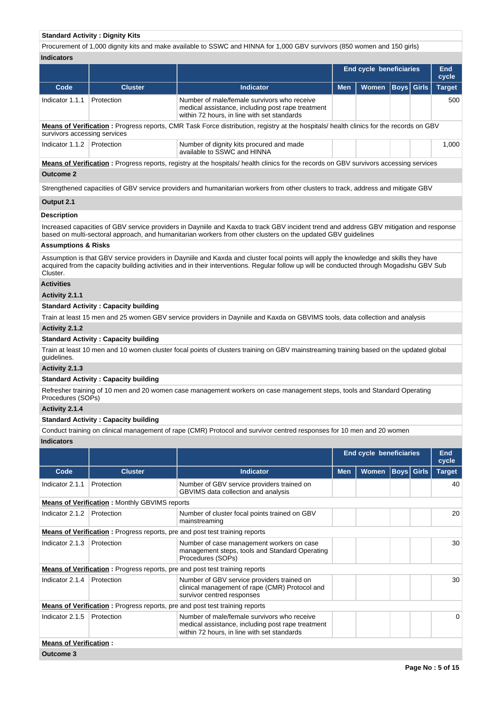## **Standard Activity : Dignity Kits**

Procurement of 1,000 dignity kits and make available to SSWC and HINNA for 1,000 GBV survivors (850 women and 150 girls) **Indicators**

|                                                                                                                                                                        |                |                                                                                                                                                 | <b>End cycle beneficiaries</b> |                      |  | <b>End</b><br>cycle |               |  |  |  |  |  |
|------------------------------------------------------------------------------------------------------------------------------------------------------------------------|----------------|-------------------------------------------------------------------------------------------------------------------------------------------------|--------------------------------|----------------------|--|---------------------|---------------|--|--|--|--|--|
| Code                                                                                                                                                                   | <b>Cluster</b> | Indicator                                                                                                                                       | <b>Men</b>                     | Women   Boys   Girls |  |                     | <b>Target</b> |  |  |  |  |  |
| Indicator 1.1.1                                                                                                                                                        | Protection     | Number of male/female survivors who receive<br>medical assistance, including post rape treatment<br>within 72 hours, in line with set standards |                                |                      |  |                     | 500           |  |  |  |  |  |
| Means of Verification: Progress reports, CMR Task Force distribution, registry at the hospitals/ health clinics for the records on GBV<br>survivors accessing services |                |                                                                                                                                                 |                                |                      |  |                     |               |  |  |  |  |  |
| Indicator 1.1.2                                                                                                                                                        | Protection     | Number of dignity kits procured and made<br>available to SSWC and HINNA                                                                         |                                |                      |  |                     | 1.000         |  |  |  |  |  |
|                                                                                                                                                                        |                | Means of Verification: Progress reports, registry at the hospitals/health clinics for the records on GBV survivors accessing services           |                                |                      |  |                     |               |  |  |  |  |  |
| <b>Outcome 2</b>                                                                                                                                                       |                |                                                                                                                                                 |                                |                      |  |                     |               |  |  |  |  |  |
|                                                                                                                                                                        |                | Strengthened capacities of GBV service providers and humanitarian workers from other clusters to track, address and mitigate GBV                |                                |                      |  |                     |               |  |  |  |  |  |

**Output 2.1**

## **Description**

Increased capacities of GBV service providers in Dayniile and Kaxda to track GBV incident trend and address GBV mitigation and response based on multi-sectoral approach, and humanitarian workers from other clusters on the updated GBV guidelines

#### **Assumptions & Risks**

Assumption is that GBV service providers in Dayniile and Kaxda and cluster focal points will apply the knowledge and skills they have acquired from the capacity building activities and in their interventions. Regular follow up will be conducted through Mogadishu GBV Sub Cluster.

## **Activities**

**Activity 2.1.1** 

### **Standard Activity : Capacity building**

Train at least 15 men and 25 women GBV service providers in Dayniile and Kaxda on GBVIMS tools, data collection and analysis

## **Activity 2.1.2**

#### **Standard Activity : Capacity building**

Train at least 10 men and 10 women cluster focal points of clusters training on GBV mainstreaming training based on the updated global guidelines.

**Activity 2.1.3** 

#### **Standard Activity : Capacity building**

Refresher training of 10 men and 20 women case management workers on case management steps, tools and Standard Operating Procedures (SOPs)

# **Activity 2.1.4**

## **Standard Activity : Capacity building**

Conduct training on clinical management of rape (CMR) Protocol and survivor centred responses for 10 men and 20 women **Indicators**

|                               |                                                      |                                                                                                                                                 | <b>End cycle beneficiaries</b> |              |  |                   | <b>End</b><br>cycle |
|-------------------------------|------------------------------------------------------|-------------------------------------------------------------------------------------------------------------------------------------------------|--------------------------------|--------------|--|-------------------|---------------------|
| Code                          | <b>Cluster</b>                                       | Indicator                                                                                                                                       | <b>Men</b>                     | <b>Women</b> |  | <b>Boys</b> Girls | <b>Target</b>       |
| Indicator 2.1.1               | Protection                                           | Number of GBV service providers trained on<br><b>GBVIMS</b> data collection and analysis                                                        |                                |              |  |                   | 40                  |
|                               | <b>Means of Verification:</b> Monthly GBVIMS reports |                                                                                                                                                 |                                |              |  |                   |                     |
| Indicator 2.1.2               | Protection                                           | Number of cluster focal points trained on GBV<br>mainstreaming                                                                                  |                                |              |  |                   | 20                  |
|                               |                                                      | <b>Means of Verification:</b> Progress reports, pre and post test training reports                                                              |                                |              |  |                   |                     |
| Indicator 2.1.3               | Protection                                           | Number of case management workers on case<br>management steps, tools and Standard Operating<br>Procedures (SOPs)                                |                                |              |  |                   | 30                  |
|                               |                                                      | <b>Means of Verification:</b> Progress reports, pre and post test training reports                                                              |                                |              |  |                   |                     |
| Indicator 2.1.4               | Protection                                           | Number of GBV service providers trained on<br>clinical management of rape (CMR) Protocol and<br>survivor centred responses                      |                                |              |  |                   | 30                  |
|                               |                                                      | <b>Means of Verification:</b> Progress reports, pre and post test training reports                                                              |                                |              |  |                   |                     |
| Indicator 2.1.5               | Protection                                           | Number of male/female survivors who receive<br>medical assistance, including post rape treatment<br>within 72 hours, in line with set standards |                                |              |  |                   | 0                   |
| <b>Means of Verification:</b> |                                                      |                                                                                                                                                 |                                |              |  |                   |                     |
| Outcome 3                     |                                                      |                                                                                                                                                 |                                |              |  |                   |                     |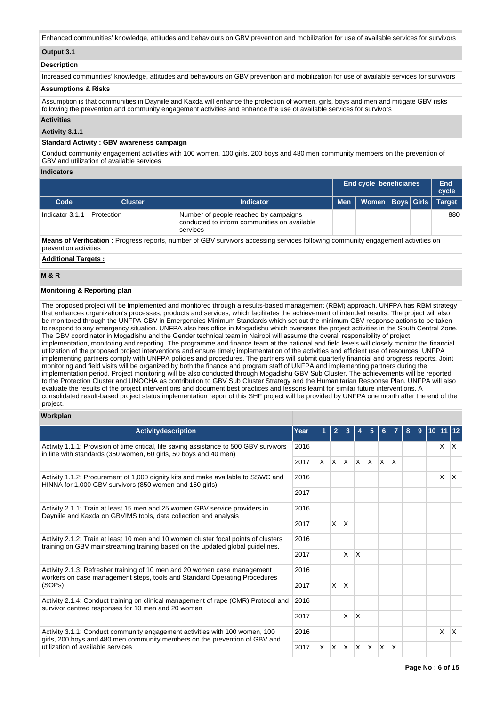Enhanced communities' knowledge, attitudes and behaviours on GBV prevention and mobilization for use of available services for survivors

## **Output 3.1**

## **Description**

Increased communities' knowledge, attitudes and behaviours on GBV prevention and mobilization for use of available services for survivors

#### **Assumptions & Risks**

Assumption is that communities in Dayniile and Kaxda will enhance the protection of women, girls, boys and men and mitigate GBV risks following the prevention and community engagement activities and enhance the use of available services for survivors

#### **Activities**

**Activity 3.1.1** 

## **Standard Activity : GBV awareness campaign**

Conduct community engagement activities with 100 women, 100 girls, 200 boys and 480 men community members on the prevention of GBV and utilization of available services

#### **Indicators**

|                 |                                                                                                                                |                                                                                                   | <b>End cycle beneficiaries</b> | End<br>cycle                      |  |  |               |  |  |  |  |
|-----------------|--------------------------------------------------------------------------------------------------------------------------------|---------------------------------------------------------------------------------------------------|--------------------------------|-----------------------------------|--|--|---------------|--|--|--|--|
| Code            | <b>Cluster</b>                                                                                                                 | <b>Indicator</b>                                                                                  | <b>Men</b>                     | Women  Boys  Girls   <sup> </sup> |  |  | <b>Target</b> |  |  |  |  |
| Indicator 3.1.1 | Protection                                                                                                                     | Number of people reached by campaigns<br>conducted to inform communities on available<br>services |                                |                                   |  |  | 880           |  |  |  |  |
|                 | Mague of Haulflanton : Dispuese provide propher of ODI angelicus acception angles following acceptable acceptance and disputed |                                                                                                   |                                |                                   |  |  |               |  |  |  |  |

**Means of Verification :** Progress reports, number of GBV survivors accessing services following community engagement activities on prevention activities

**Additional Targets :**

## **M & R**

## **Monitoring & Reporting plan**

The proposed project will be implemented and monitored through a results-based management (RBM) approach. UNFPA has RBM strategy that enhances organization's processes, products and services, which facilitates the achievement of intended results. The project will also be monitored through the UNFPA GBV in Emergencies Minimum Standards which set out the minimum GBV response actions to be taken to respond to any emergency situation. UNFPA also has office in Mogadishu which oversees the project activities in the South Central Zone. The GBV coordinator in Mogadishu and the Gender technical team in Nairobi will assume the overall responsibility of project implementation, monitoring and reporting. The programme and finance team at the national and field levels will closely monitor the financial utilization of the proposed project interventions and ensure timely implementation of the activities and efficient use of resources. UNFPA implementing partners comply with UNFPA policies and procedures. The partners will submit quarterly financial and progress reports. Joint monitoring and field visits will be organized by both the finance and program staff of UNFPA and implementing partners during the implementation period. Project monitoring will be also conducted through Mogadishu GBV Sub Cluster. The achievements will be reported to the Protection Cluster and UNOCHA as contribution to GBV Sub Cluster Strategy and the Humanitarian Response Plan. UNFPA will also evaluate the results of the project interventions and document best practices and lessons learnt for similar future interventions. A consolidated result-based project status implementation report of this SHF project will be provided by UNFPA one month after the end of the project.

## **Workplan**

| <b>Activitydescription</b>                                                                                                                                            | Year |    |          |              |              |              |                         |    |  |   |              |
|-----------------------------------------------------------------------------------------------------------------------------------------------------------------------|------|----|----------|--------------|--------------|--------------|-------------------------|----|--|---|--------------|
| 2016<br>Activity 1.1.1: Provision of time critical, life saving assistance to 500 GBV survivors<br>in line with standards (350 women, 60 girls, 50 boys and 40 men)   |      |    |          |              |              |              |                         |    |  | X | $\mathsf{X}$ |
|                                                                                                                                                                       | 2017 | X. | IX.      | ΙX.          | X.           | $\mathsf{X}$ | $\mathsf{X}$            | ΙX |  |   |              |
| Activity 1.1.2: Procurement of 1,000 dignity kits and make available to SSWC and<br>HINNA for 1,000 GBV survivors (850 women and 150 girls)                           | 2016 |    |          |              |              |              |                         |    |  | X | ΙX.          |
|                                                                                                                                                                       | 2017 |    |          |              |              |              |                         |    |  |   |              |
| Activity 2.1.1: Train at least 15 men and 25 women GBV service providers in<br>Dayniile and Kaxda on GBVIMS tools, data collection and analysis                       | 2016 |    |          |              |              |              |                         |    |  |   |              |
|                                                                                                                                                                       | 2017 |    | $\times$ | ΙX.          |              |              |                         |    |  |   |              |
| Activity 2.1.2: Train at least 10 men and 10 women cluster focal points of clusters<br>training on GBV mainstreaming training based on the updated global guidelines. |      |    |          |              |              |              |                         |    |  |   |              |
|                                                                                                                                                                       | 2017 |    |          | <b>X</b>     | X            |              |                         |    |  |   |              |
| Activity 2.1.3: Refresher training of 10 men and 20 women case management<br>workers on case management steps, tools and Standard Operating Procedures                | 2016 |    |          |              |              |              |                         |    |  |   |              |
| (SOPs)                                                                                                                                                                | 2017 |    | X        | <sup>X</sup> |              |              |                         |    |  |   |              |
| Activity 2.1.4: Conduct training on clinical management of rape (CMR) Protocol and<br>survivor centred responses for 10 men and 20 women                              | 2016 |    |          |              |              |              |                         |    |  |   |              |
|                                                                                                                                                                       | 2017 |    |          | X            | $\times$     |              |                         |    |  |   |              |
| Activity 3.1.1: Conduct community engagement activities with 100 women, 100<br>girls, 200 boys and 480 men community members on the prevention of GBV and             | 2016 |    |          |              |              |              |                         |    |  | X | ΙX.          |
| utilization of available services<br>2017                                                                                                                             |      | X. | X.       | ΙX.          | $\mathsf{x}$ | X            | $\overline{\mathsf{x}}$ | ΙX |  |   |              |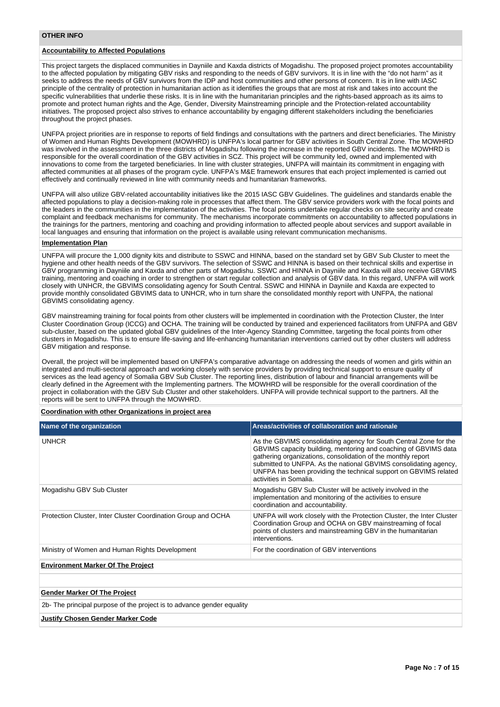#### **OTHER INFO**

## **Accountability to Affected Populations**

This project targets the displaced communities in Dayniile and Kaxda districts of Mogadishu. The proposed project promotes accountability to the affected population by mitigating GBV risks and responding to the needs of GBV survivors. It is in line with the "do not harm" as it seeks to address the needs of GBV survivors from the IDP and host communities and other persons of concern. It is in line with IASC principle of the centrality of protection in humanitarian action as it identifies the groups that are most at risk and takes into account the specific vulnerabilities that underlie these risks. It is in line with the humanitarian principles and the rights-based approach as its aims to promote and protect human rights and the Age, Gender, Diversity Mainstreaming principle and the Protection-related accountability initiatives. The proposed project also strives to enhance accountability by engaging different stakeholders including the beneficiaries throughout the project phases.

UNFPA project priorities are in response to reports of field findings and consultations with the partners and direct beneficiaries. The Ministry of Women and Human Rights Development (MOWHRD) is UNFPA's local partner for GBV activities in South Central Zone. The MOWHRD was involved in the assessment in the three districts of Mogadishu following the increase in the reported GBV incidents. The MOWHRD is responsible for the overall coordination of the GBV activities in SCZ. This project will be community led, owned and implemented with innovations to come from the targeted beneficiaries. In line with cluster strategies, UNFPA will maintain its commitment in engaging with affected communities at all phases of the program cycle. UNFPA's M&E framework ensures that each project implemented is carried out effectively and continually reviewed in line with community needs and humanitarian frameworks.

UNFPA will also utilize GBV-related accountability initiatives like the 2015 IASC GBV Guidelines. The guidelines and standards enable the affected populations to play a decision-making role in processes that affect them. The GBV service providers work with the focal points and the leaders in the communities in the implementation of the activities. The focal points undertake regular checks on site security and create complaint and feedback mechanisms for community. The mechanisms incorporate commitments on accountability to affected populations in the trainings for the partners, mentoring and coaching and providing information to affected people about services and support available in local languages and ensuring that information on the project is available using relevant communication mechanisms.

#### **Implementation Plan**

UNFPA will procure the 1,000 dignity kits and distribute to SSWC and HINNA, based on the standard set by GBV Sub Cluster to meet the hygiene and other health needs of the GBV survivors. The selection of SSWC and HINNA is based on their technical skills and expertise in GBV programming in Dayniile and Kaxda and other parts of Mogadishu. SSWC and HINNA in Dayniile and Kaxda will also receive GBVIMS training, mentoring and coaching in order to strengthen or start regular collection and analysis of GBV data. In this regard, UNFPA will work closely with UNHCR, the GBVIMS consolidating agency for South Central. SSWC and HINNA in Dayniile and Kaxda are expected to provide monthly consolidated GBVIMS data to UNHCR, who in turn share the consolidated monthly report with UNFPA, the national GBVIMS consolidating agency.

GBV mainstreaming training for focal points from other clusters will be implemented in coordination with the Protection Cluster, the Inter Cluster Coordination Group (ICCG) and OCHA. The training will be conducted by trained and experienced facilitators from UNFPA and GBV sub-cluster, based on the updated global GBV guidelines of the Inter-Agency Standing Committee, targeting the focal points from other clusters in Mogadishu. This is to ensure life-saving and life-enhancing humanitarian interventions carried out by other clusters will address GBV mitigation and response.

Overall, the project will be implemented based on UNFPA's comparative advantage on addressing the needs of women and girls within an integrated and multi-sectoral approach and working closely with service providers by providing technical support to ensure quality of services as the lead agency of Somalia GBV Sub Cluster. The reporting lines, distribution of labour and financial arrangements will be clearly defined in the Agreement with the Implementing partners. The MOWHRD will be responsible for the overall coordination of the project in collaboration with the GBV Sub Cluster and other stakeholders. UNFPA will provide technical support to the partners. All the reports will be sent to UNFPA through the MOWHRD.

#### **Coordination with other Organizations in project area**

| Name of the organization                                      | Areas/activities of collaboration and rationale                                                                                                                                                                                                                                                                                                                        |
|---------------------------------------------------------------|------------------------------------------------------------------------------------------------------------------------------------------------------------------------------------------------------------------------------------------------------------------------------------------------------------------------------------------------------------------------|
| <b>UNHCR</b>                                                  | As the GBVIMS consolidating agency for South Central Zone for the<br>GBVIMS capacity building, mentoring and coaching of GBVIMS data<br>gathering organizations, consolidation of the monthly report<br>submitted to UNFPA. As the national GBVIMS consolidating agency,<br>UNFPA has been providing the technical support on GBVIMS related<br>activities in Somalia. |
| Mogadishu GBV Sub Cluster                                     | Mogadishu GBV Sub Cluster will be actively involved in the<br>implementation and monitoring of the activities to ensure<br>coordination and accountability.                                                                                                                                                                                                            |
| Protection Cluster, Inter Cluster Coordination Group and OCHA | UNFPA will work closely with the Protection Cluster, the Inter Cluster<br>Coordination Group and OCHA on GBV mainstreaming of focal<br>points of clusters and mainstreaming GBV in the humanitarian<br>interventions.                                                                                                                                                  |
| Ministry of Women and Human Rights Development                | For the coordination of GBV interventions                                                                                                                                                                                                                                                                                                                              |
| <b>Environment Marker Of The Project</b>                      |                                                                                                                                                                                                                                                                                                                                                                        |
|                                                               |                                                                                                                                                                                                                                                                                                                                                                        |
| <b>Gender Marker Of The Project</b>                           |                                                                                                                                                                                                                                                                                                                                                                        |

2b- The principal purpose of the project is to advance gender equality

#### **Justify Chosen Gender Marker Code**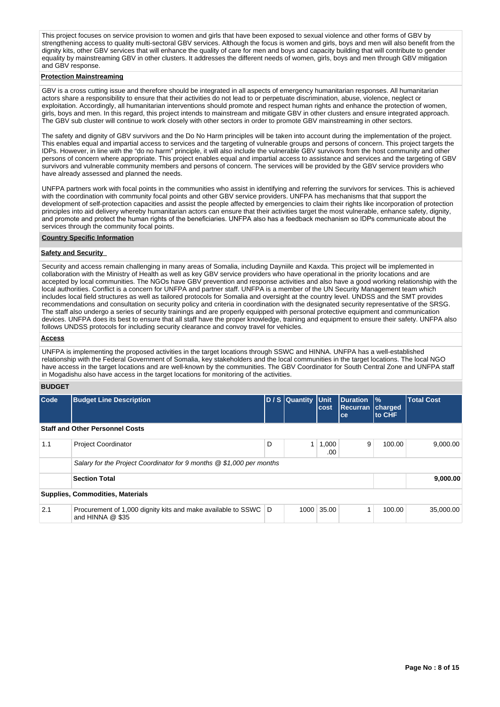This project focuses on service provision to women and girls that have been exposed to sexual violence and other forms of GBV by strengthening access to quality multi-sectoral GBV services. Although the focus is women and girls, boys and men will also benefit from the dignity kits, other GBV services that will enhance the quality of care for men and boys and capacity building that will contribute to gender equality by mainstreaming GBV in other clusters. It addresses the different needs of women, girls, boys and men through GBV mitigation and GBV response.

#### **Protection Mainstreaming**

GBV is a cross cutting issue and therefore should be integrated in all aspects of emergency humanitarian responses. All humanitarian actors share a responsibility to ensure that their activities do not lead to or perpetuate discrimination, abuse, violence, neglect or exploitation. Accordingly, all humanitarian interventions should promote and respect human rights and enhance the protection of women, girls, boys and men. In this regard, this project intends to mainstream and mitigate GBV in other clusters and ensure integrated approach. The GBV sub cluster will continue to work closely with other sectors in order to promote GBV mainstreaming in other sectors.

The safety and dignity of GBV survivors and the Do No Harm principles will be taken into account during the implementation of the project. This enables equal and impartial access to services and the targeting of vulnerable groups and persons of concern. This project targets the IDPs. However, in line with the "do no harm" principle, it will also include the vulnerable GBV survivors from the host community and other persons of concern where appropriate. This project enables equal and impartial access to assistance and services and the targeting of GBV survivors and vulnerable community members and persons of concern. The services will be provided by the GBV service providers who have already assessed and planned the needs.

UNFPA partners work with focal points in the communities who assist in identifying and referring the survivors for services. This is achieved with the coordination with community focal points and other GBV service providers. UNFPA has mechanisms that that support the development of self-protection capacities and assist the people affected by emergencies to claim their rights like incorporation of protection principles into aid delivery whereby humanitarian actors can ensure that their activities target the most vulnerable, enhance safety, dignity, and promote and protect the human rights of the beneficiaries. UNFPA also has a feedback mechanism so IDPs communicate about the services through the community focal points.

#### **Country Specific Information**

## **Safety and Security**

Security and access remain challenging in many areas of Somalia, including Dayniile and Kaxda. This project will be implemented in collaboration with the Ministry of Health as well as key GBV service providers who have operational in the priority locations and are accepted by local communities. The NGOs have GBV prevention and response activities and also have a good working relationship with the local authorities. Conflict is a concern for UNFPA and partner staff. UNFPA is a member of the UN Security Management team which includes local field structures as well as tailored protocols for Somalia and oversight at the country level. UNDSS and the SMT provides recommendations and consultation on security policy and criteria in coordination with the designated security representative of the SRSG. The staff also undergo a series of security trainings and are properly equipped with personal protective equipment and communication devices. UNFPA does its best to ensure that all staff have the proper knowledge, training and equipment to ensure their safety. UNFPA also follows UNDSS protocols for including security clearance and convoy travel for vehicles.

#### **Access**

UNFPA is implementing the proposed activities in the target locations through SSWC and HINNA. UNFPA has a well-established relationship with the Federal Government of Somalia, key stakeholders and the local communities in the target locations. The local NGO have access in the target locations and are well-known by the communities. The GBV Coordinator for South Central Zone and UNFPA staff in Mogadishu also have access in the target locations for monitoring of the activities.

## **BUDGET**

| Code | <b>Budget Line Description</b>                                                       |   | D / S Quantity Unit | Duration<br><b>Recurran</b><br>cost<br>ce |   | $\frac{9}{6}$<br>charged<br>to CHF | <b>Total Cost</b> |
|------|--------------------------------------------------------------------------------------|---|---------------------|-------------------------------------------|---|------------------------------------|-------------------|
|      | <b>Staff and Other Personnel Costs</b>                                               |   |                     |                                           |   |                                    |                   |
| 1.1  | <b>Project Coordinator</b>                                                           | D | 1 <sup>1</sup>      | 1,000<br>.00                              | 9 | 100.00                             | 9.000.00          |
|      | Salary for the Project Coordinator for 9 months @ \$1,000 per months                 |   |                     |                                           |   |                                    |                   |
|      | <b>Section Total</b>                                                                 |   |                     |                                           |   |                                    | 9,000.00          |
|      | <b>Supplies, Commodities, Materials</b>                                              |   |                     |                                           |   |                                    |                   |
| 2.1  | Procurement of 1,000 dignity kits and make available to SSWC D<br>and HINNA $@$ \$35 |   |                     | 1000 35.00                                |   | 100.00                             | 35.000.00         |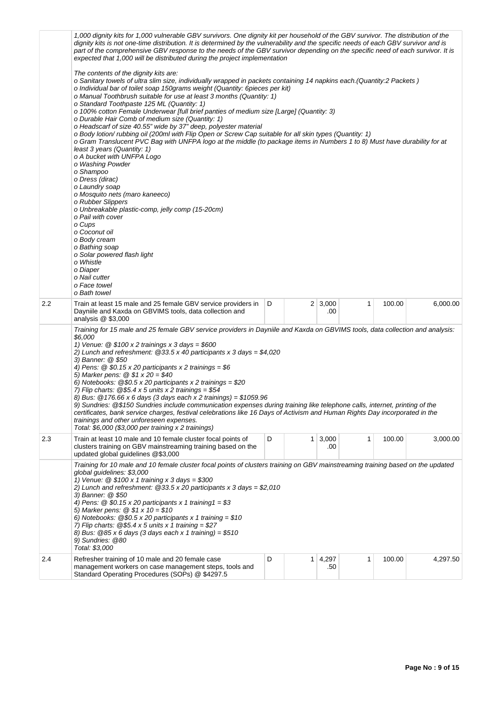|     | 1,000 dignity kits for 1,000 vulnerable GBV survivors. One dignity kit per household of the GBV survivor. The distribution of the<br>dignity kits is not one-time distribution. It is determined by the vulnerability and the specific needs of each GBV survivor and is<br>part of the comprehensive GBV response to the needs of the GBV survivor depending on the specific need of each survivor. It is<br>expected that 1,000 will be distributed during the project implementation<br>The contents of the dignity kits are:<br>o Sanitary towels of ultra slim size, individually wrapped in packets containing 14 napkins each. (Quantity:2 Packets)<br>o Individual bar of toilet soap 150grams weight (Quantity: 6pieces per kit)<br>o Manual Toothbrush suitable for use at least 3 months (Quantity: 1)<br>o Standard Toothpaste 125 ML (Quantity: 1)<br>o 100% cotton Female Underwear [full brief panties of medium size [Large] (Quantity: 3)<br>o Durable Hair Comb of medium size (Quantity: 1)<br>o Headscarf of size 40.55" wide by 37" deep, polyester material<br>o Body lotion/ rubbing oil (200ml with Flip Open or Screw Cap suitable for all skin types (Quantity: 1)<br>o Gram Translucent PVC Bag with UNFPA logo at the middle (to package items in Numbers 1 to 8) Must have durability for at<br>least 3 years (Quantity: 1)<br>o A bucket with UNFPA Logo<br>o Washing Powder<br>o Shampoo<br>o Dress (dirac)<br>o Laundry soap<br>o Mosquito nets (maro kaneeco)<br>o Rubber Slippers<br>o Unbreakable plastic-comp, jelly comp (15-20cm)<br>o Pail with cover<br>o Cups<br>o Coconut oil<br>o Body cream<br>o Bathing soap<br>o Solar powered flash light<br>o Whistle<br>o Diaper<br>o Nail cutter<br>o Face towel |   |  |                       |   |        |          |  |
|-----|----------------------------------------------------------------------------------------------------------------------------------------------------------------------------------------------------------------------------------------------------------------------------------------------------------------------------------------------------------------------------------------------------------------------------------------------------------------------------------------------------------------------------------------------------------------------------------------------------------------------------------------------------------------------------------------------------------------------------------------------------------------------------------------------------------------------------------------------------------------------------------------------------------------------------------------------------------------------------------------------------------------------------------------------------------------------------------------------------------------------------------------------------------------------------------------------------------------------------------------------------------------------------------------------------------------------------------------------------------------------------------------------------------------------------------------------------------------------------------------------------------------------------------------------------------------------------------------------------------------------------------------------------------------------------------------------------------------------------------------------------|---|--|-----------------------|---|--------|----------|--|
| 2.2 | o Bath towel<br>Train at least 15 male and 25 female GBV service providers in<br>Dayniile and Kaxda on GBVIMS tools, data collection and<br>analysis $@$ \$3,000                                                                                                                                                                                                                                                                                                                                                                                                                                                                                                                                                                                                                                                                                                                                                                                                                                                                                                                                                                                                                                                                                                                                                                                                                                                                                                                                                                                                                                                                                                                                                                                   | D |  | $2 \mid 3,000$<br>.00 | 1 | 100.00 | 6,000.00 |  |
|     | Training for 15 male and 25 female GBV service providers in Dayniile and Kaxda on GBVIMS tools, data collection and analysis:<br>\$6,000<br>1) Venue: $@$ \$100 x 2 trainings x 3 days = \$600<br>2) Lunch and refreshment: @33.5 x 40 participants x 3 days = \$4,020<br>3) Banner: @ \$50<br>4) Pens: $@$ \$0.15 x 20 participants x 2 trainings = \$6<br>5) Marker pens: $@ $1 x 20 = $40$<br>6) Notebooks: $@$0.5 \times 20$ participants x 2 trainings = \$20<br>7) Flip charts: $@$5.4 \times 5$ units x 2 trainings = \$54<br>8) Bus: $@176.66 \times 6$ days (3 days each x 2 trainings) = \$1059.96<br>9) Sundries: @\$150 Sundries include communication expenses during training like telephone calls, internet, printing of the<br>certificates, bank service charges, festival celebrations like 16 Days of Activism and Human Rights Day incorporated in the<br>trainings and other unforeseen expenses.<br>Total: \$6,000 (\$3,000 per training x 2 trainings)                                                                                                                                                                                                                                                                                                                                                                                                                                                                                                                                                                                                                                                                                                                                                                      |   |  |                       |   |        |          |  |
| 2.3 | Train at least 10 male and 10 female cluster focal points of<br>clusters training on GBV mainstreaming training based on the<br>updated global guidelines @\$3,000                                                                                                                                                                                                                                                                                                                                                                                                                                                                                                                                                                                                                                                                                                                                                                                                                                                                                                                                                                                                                                                                                                                                                                                                                                                                                                                                                                                                                                                                                                                                                                                 | D |  | $1 \, 3,000$<br>.00   | 1 | 100.00 | 3,000.00 |  |
|     | Training for 10 male and 10 female cluster focal points of clusters training on GBV mainstreaming training based on the updated<br>global guidelines: \$3,000<br>1) Venue: $@$100 \times 1$ training x 3 days = \$300<br>2) Lunch and refreshment: $@33.5 \times 20$ participants x 3 days = \$2,010<br>3) Banner: @ \$50<br>4) Pens: $@$ \$0.15 x 20 participants x 1 training $1 = $3$<br>5) Marker pens: $@ $1 x 10 = $10$<br>6) Notebooks: $@$0.5 \times 20$ participants x 1 training = \$10<br>7) Flip charts: $@$5.4 \times 5$ units x 1 training = \$27<br>8) Bus: $@85 \times 6$ days (3 days each x 1 training) = \$510<br>9) Sundries: @80<br>Total: \$3,000                                                                                                                                                                                                                                                                                                                                                                                                                                                                                                                                                                                                                                                                                                                                                                                                                                                                                                                                                                                                                                                                            |   |  |                       |   |        |          |  |
| 2.4 | Refresher training of 10 male and 20 female case<br>management workers on case management steps, tools and<br>Standard Operating Procedures (SOPs) @ \$4297.5                                                                                                                                                                                                                                                                                                                                                                                                                                                                                                                                                                                                                                                                                                                                                                                                                                                                                                                                                                                                                                                                                                                                                                                                                                                                                                                                                                                                                                                                                                                                                                                      | D |  | $1 \mid 4,297$<br>.50 | 1 | 100.00 | 4,297.50 |  |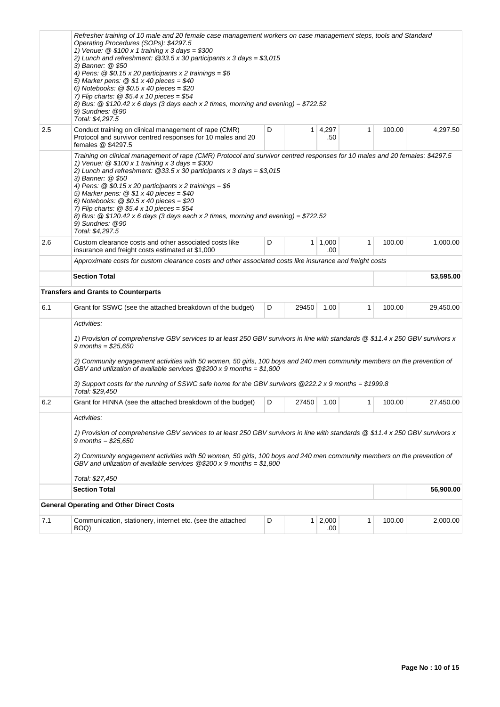|     | Refresher training of 10 male and 20 female case management workers on case management steps, tools and Standard<br>Operating Procedures (SOPs): \$4297.5<br>1) Venue: $@$ \$100 x 1 training x 3 days = \$300<br>2) Lunch and refreshment: $@33.5 \times 30$ participants x 3 days = \$3,015<br>3) Banner: @ \$50<br>4) Pens: $@$ \$0.15 x 20 participants x 2 trainings = \$6<br>5) Marker pens: $@ $1 x 40$ pieces = \$40<br>6) Notebooks: $@$0.5 \times 40$ pieces = \$20<br>7) Flip charts: $\textcircled{2}$ \$5.4 x 10 pieces = \$54<br>8) Bus: $\circledcirc$ \$120.42 x 6 days (3 days each x 2 times, morning and evening) = \$722.52<br>9) Sundries: @90<br>Total: \$4,297.5 |   |                |                       |              |        |           |  |  |  |
|-----|-----------------------------------------------------------------------------------------------------------------------------------------------------------------------------------------------------------------------------------------------------------------------------------------------------------------------------------------------------------------------------------------------------------------------------------------------------------------------------------------------------------------------------------------------------------------------------------------------------------------------------------------------------------------------------------------|---|----------------|-----------------------|--------------|--------|-----------|--|--|--|
| 2.5 | Conduct training on clinical management of rape (CMR)<br>Protocol and survivor centred responses for 10 males and 20<br>females @ \$4297.5                                                                                                                                                                                                                                                                                                                                                                                                                                                                                                                                              | D |                | $1 \mid 4,297$<br>.50 | $\mathbf{1}$ | 100.00 | 4,297.50  |  |  |  |
|     | Training on clinical management of rape (CMR) Protocol and survivor centred responses for 10 males and 20 females: \$4297.5<br>1) Venue: $@$ \$100 x 1 training x 3 days = \$300<br>2) Lunch and refreshment: $@33.5 \times 30$ participants x 3 days = \$3,015<br>3) Banner: @ \$50<br>4) Pens: $@$ \$0.15 x 20 participants x 2 trainings = \$6<br>5) Marker pens: $@ $1 x 40$ pieces = \$40<br>6) Notebooks: $@$0.5 \times 40$ pieces = \$20<br>7) Flip charts: $@$ \$5.4 x 10 pieces = \$54<br>8) Bus: $@$ \$120.42 x 6 days (3 days each x 2 times, morning and evening) = \$722.52<br>9) Sundries: @90<br>Total: \$4,297.5                                                        |   |                |                       |              |        |           |  |  |  |
| 2.6 | Custom clearance costs and other associated costs like<br>insurance and freight costs estimated at \$1,000                                                                                                                                                                                                                                                                                                                                                                                                                                                                                                                                                                              | D |                | $1 \mid 1,000$<br>.00 | $\mathbf{1}$ | 100.00 | 1,000.00  |  |  |  |
|     | Approximate costs for custom clearance costs and other associated costs like insurance and freight costs                                                                                                                                                                                                                                                                                                                                                                                                                                                                                                                                                                                |   |                |                       |              |        |           |  |  |  |
|     | <b>Section Total</b><br>53,595.00                                                                                                                                                                                                                                                                                                                                                                                                                                                                                                                                                                                                                                                       |   |                |                       |              |        |           |  |  |  |
|     | <b>Transfers and Grants to Counterparts</b>                                                                                                                                                                                                                                                                                                                                                                                                                                                                                                                                                                                                                                             |   |                |                       |              |        |           |  |  |  |
| 6.1 | Grant for SSWC (see the attached breakdown of the budget)                                                                                                                                                                                                                                                                                                                                                                                                                                                                                                                                                                                                                               | D | 29450          | 1.00                  | $\mathbf{1}$ | 100.00 | 29,450.00 |  |  |  |
|     | Activities:<br>1) Provision of comprehensive GBV services to at least 250 GBV survivors in line with standards @ \$11.4 x 250 GBV survivors x<br>9 months = $$25,650$<br>2) Community engagement activities with 50 women, 50 girls, 100 boys and 240 men community members on the prevention of<br>GBV and utilization of available services $@200 \times 9$ months = \$1,800<br>3) Support costs for the running of SSWC safe home for the GBV survivors @222.2 x 9 months = \$1999.8<br>Total: \$29,450                                                                                                                                                                              |   |                |                       |              |        |           |  |  |  |
| 6.2 | Grant for HINNA (see the attached breakdown of the budget)                                                                                                                                                                                                                                                                                                                                                                                                                                                                                                                                                                                                                              | D | 27450          | 1.00                  | 1            | 100.00 | 27,450.00 |  |  |  |
|     | Activities:<br>1) Provision of comprehensive GBV services to at least 250 GBV survivors in line with standards @ \$11.4 x 250 GBV survivors x<br>9 months = $$25.650$<br>2) Community engagement activities with 50 women, 50 girls, 100 boys and 240 men community members on the prevention of<br>GBV and utilization of available services $@$200 x 9 months = $1,800$<br>Total: \$27,450                                                                                                                                                                                                                                                                                            |   |                |                       |              |        |           |  |  |  |
|     | <b>Section Total</b>                                                                                                                                                                                                                                                                                                                                                                                                                                                                                                                                                                                                                                                                    |   |                |                       |              |        | 56,900.00 |  |  |  |
|     | <b>General Operating and Other Direct Costs</b>                                                                                                                                                                                                                                                                                                                                                                                                                                                                                                                                                                                                                                         |   |                |                       |              |        |           |  |  |  |
| 7.1 | Communication, stationery, internet etc. (see the attached<br>BOQ)                                                                                                                                                                                                                                                                                                                                                                                                                                                                                                                                                                                                                      | D | 1 <sup>1</sup> | 2,000<br>.00          | 1            | 100.00 | 2,000.00  |  |  |  |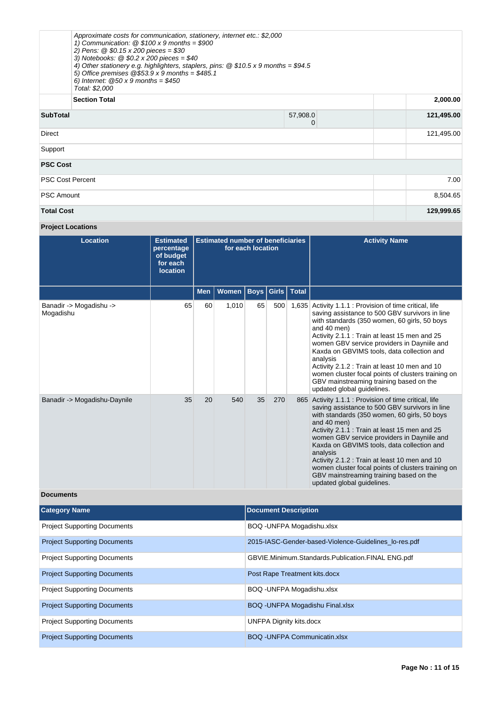|                               | Approximate costs for communication, stationery, internet etc.: \$2,000<br>1) Communication: $@$ \$100 x 9 months = \$900<br>2) Pens: $@$ \$0.15 x 200 pieces = \$30<br>3) Notebooks: $@$0.2 \times 200$ pieces = \$40<br>4) Other stationery e.g. highlighters, staplers, pins: $@$ \$10.5 x 9 months = \$94.5<br>5) Office premises $@53.9 \times 9$ months = \$485.1<br>6) Internet: $@50 \times 9$ months = \$450<br>Total: \$2,000 |               |            |  |
|-------------------------------|-----------------------------------------------------------------------------------------------------------------------------------------------------------------------------------------------------------------------------------------------------------------------------------------------------------------------------------------------------------------------------------------------------------------------------------------|---------------|------------|--|
|                               | <b>Section Total</b>                                                                                                                                                                                                                                                                                                                                                                                                                    |               | 2,000.00   |  |
| <b>SubTotal</b>               |                                                                                                                                                                                                                                                                                                                                                                                                                                         | 57,908.0<br>0 | 121,495.00 |  |
| Direct                        | 121,495.00                                                                                                                                                                                                                                                                                                                                                                                                                              |               |            |  |
| Support                       |                                                                                                                                                                                                                                                                                                                                                                                                                                         |               |            |  |
| <b>PSC Cost</b>               |                                                                                                                                                                                                                                                                                                                                                                                                                                         |               |            |  |
| <b>PSC Cost Percent</b>       |                                                                                                                                                                                                                                                                                                                                                                                                                                         |               |            |  |
| 8,504.65<br><b>PSC Amount</b> |                                                                                                                                                                                                                                                                                                                                                                                                                                         |               |            |  |
| <b>Total Cost</b>             | 129,999.65                                                                                                                                                                                                                                                                                                                                                                                                                              |               |            |  |

# **Project Locations**

| <b>Location</b>                      | <b>Estimated</b><br>percentage<br>of budget<br>for each<br><b>location</b> | <b>Estimated number of beneficiaries</b><br>for each location |              |             |       |              | <b>Activity Name</b>                                                                                                                                                                                                                                                                                                                                                                                                                                                                                             |
|--------------------------------------|----------------------------------------------------------------------------|---------------------------------------------------------------|--------------|-------------|-------|--------------|------------------------------------------------------------------------------------------------------------------------------------------------------------------------------------------------------------------------------------------------------------------------------------------------------------------------------------------------------------------------------------------------------------------------------------------------------------------------------------------------------------------|
|                                      |                                                                            | <b>Men</b>                                                    | <b>Women</b> | <b>Boys</b> | Girls | <b>Total</b> |                                                                                                                                                                                                                                                                                                                                                                                                                                                                                                                  |
| Banadir -> Mogadishu -><br>Mogadishu | 65                                                                         | 60                                                            | 1,010        | 65          | 500   | 1,635        | Activity 1.1.1 : Provision of time critical, life<br>saving assistance to 500 GBV survivors in line<br>with standards (350 women, 60 girls, 50 boys<br>and 40 men)<br>Activity 2.1.1 : Train at least 15 men and 25<br>women GBV service providers in Dayniile and<br>Kaxda on GBVIMS tools, data collection and<br>analysis<br>Activity 2.1.2 : Train at least 10 men and 10<br>women cluster focal points of clusters training on<br>GBV mainstreaming training based on the<br>updated global quidelines.     |
| Banadir -> Mogadishu-Daynile         | 35                                                                         | 20                                                            | 540          | 35          | 270   |              | 865 Activity 1.1.1 : Provision of time critical, life<br>saving assistance to 500 GBV survivors in line<br>with standards (350 women, 60 girls, 50 boys<br>and 40 men)<br>Activity 2.1.1 : Train at least 15 men and 25<br>women GBV service providers in Dayniile and<br>Kaxda on GBVIMS tools, data collection and<br>analysis<br>Activity 2.1.2 : Train at least 10 men and 10<br>women cluster focal points of clusters training on<br>GBV mainstreaming training based on the<br>updated global guidelines. |

## **Documents**

| <b>Category Name</b>                | <b>Document Description</b>                           |
|-------------------------------------|-------------------------------------------------------|
| <b>Project Supporting Documents</b> | BOQ - UNFPA Mogadishu.xlsx                            |
| <b>Project Supporting Documents</b> | 2015-IASC-Gender-based-Violence-Guidelines lo-res.pdf |
| <b>Project Supporting Documents</b> | GBVIE.Minimum.Standards.Publication.FINAL ENG.pdf     |
| <b>Project Supporting Documents</b> | Post Rape Treatment kits.docx                         |
| <b>Project Supporting Documents</b> | BOQ - UNFPA Mogadishu.xlsx                            |
| <b>Project Supporting Documents</b> | BOQ - UNFPA Mogadishu Final.xlsx                      |
| <b>Project Supporting Documents</b> | <b>UNFPA Dignity kits.docx</b>                        |
| <b>Project Supporting Documents</b> | <b>BOQ - UNFPA Communicatin.xlsx</b>                  |